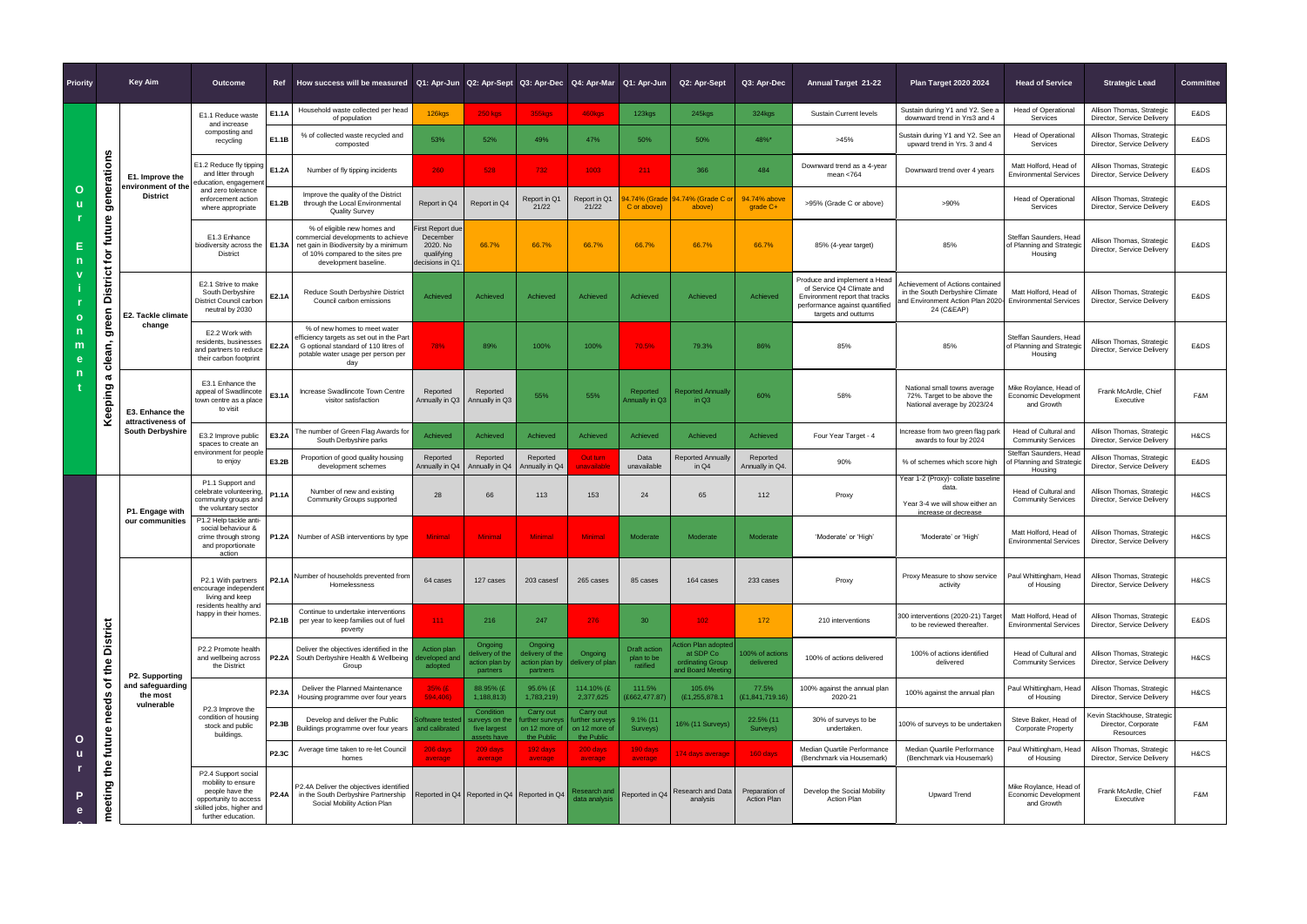| <b>Priority</b>             |                                                                | <b>Key Aim</b>                                                  | Outcome                                                                                                                                 |              | Ref How success will be measured   Q1: Apr-Jun   Q2: Apr-Sept   Q3: Apr-Dec   Q4: Apr-Mar   Q1: Apr-Jun                                                                 |                                                                                  |                                                           |                                                           |                                                            |                                               | Q2: Apr-Sept                                                             | Q3: Apr-Dec                          | <b>Annual Target 21-22</b>                                                                                                                            | <b>Plan Target 2020 2024</b>                                                                                           | <b>Head of Service</b>                                         | <b>Strategic Lead</b>                                           | <b>Committee</b> |
|-----------------------------|----------------------------------------------------------------|-----------------------------------------------------------------|-----------------------------------------------------------------------------------------------------------------------------------------|--------------|-------------------------------------------------------------------------------------------------------------------------------------------------------------------------|----------------------------------------------------------------------------------|-----------------------------------------------------------|-----------------------------------------------------------|------------------------------------------------------------|-----------------------------------------------|--------------------------------------------------------------------------|--------------------------------------|-------------------------------------------------------------------------------------------------------------------------------------------------------|------------------------------------------------------------------------------------------------------------------------|----------------------------------------------------------------|-----------------------------------------------------------------|------------------|
| Ő<br>$\mathbf{o}$<br>m<br>n |                                                                | E1. Improve the<br>environment of the<br><b>District</b>        | E1.1 Reduce waste<br>and increase                                                                                                       | E1.1A        | Household waste collected per head<br>of population                                                                                                                     | 126kgs                                                                           | <b>250 kgs</b>                                            | 355kgs                                                    | 460kgs                                                     | 123kgs                                        | $245$ <sub>kgs</sub>                                                     | 324kgs                               | <b>Sustain Current levels</b>                                                                                                                         | Sustain during Y1 and Y2. See a<br>downward trend in Yrs3 and 4                                                        | <b>Head of Operational</b><br>Services                         | Allison Thomas, Strategic<br>Director, Service Delivery         | E&DS             |
|                             | n                                                              |                                                                 | composting and<br>recycling                                                                                                             | E1.1B        | % of collected waste recycled and<br>composted                                                                                                                          | 53%                                                                              | 52%                                                       | 49%                                                       | 47%                                                        | 50%                                           | 50%                                                                      | 48%*                                 | >45%                                                                                                                                                  | Sustain during Y1 and Y2. See ar<br>upward trend in Yrs. 3 and 4                                                       | <b>Head of Operational</b><br>Services                         | Allison Thomas, Strategic<br>Director, Service Delivery         | E&DS             |
|                             | generation                                                     |                                                                 | E1.2 Reduce fly tipping<br>and litter through<br>education, engagement                                                                  | E1.2A        | Number of fly tipping incidents                                                                                                                                         | 260                                                                              | 528                                                       | 732                                                       | 1003                                                       | $211 -$                                       | 366                                                                      | 484                                  | Downward trend as a 4-year<br>mean $<$ 764                                                                                                            | Downward trend over 4 years                                                                                            | Matt Holford, Head of<br><b>Environmental Services</b>         | Allison Thomas, Strategic<br>Director, Service Delivery         | E&DS             |
|                             |                                                                |                                                                 | and zero tolerance<br>enforcement action<br>where appropriate                                                                           | E1.2B        | Improve the quality of the District<br>through the Local Environmental<br><b>Quality Survey</b>                                                                         | Report in Q4                                                                     | Report in Q4                                              | Report in Q1<br>21/22                                     | Report in Q1<br>21/22                                      | .74% (Grade<br>C or above)                    | 14.74% (Grade C or<br>above)                                             | 94.74% above<br>grade C+             | >95% (Grade C or above)                                                                                                                               | >90%                                                                                                                   | <b>Head of Operational</b><br>Services                         | Allison Thomas, Strategic<br>Director, Service Delivery         | E&DS             |
|                             | future<br>$\mathfrak{b}$                                       |                                                                 | E1.3 Enhance<br>biodiversity across the $\vert$ E1.3A<br><b>District</b>                                                                |              | % of eligible new homes and<br>commercial developments to achieve<br>net gain in Biodiversity by a minimum<br>of 10% compared to the sites pre<br>development baseline. | <b>First Report due</b><br>December<br>2020. No<br>qualifying<br>decisions in Q1 | 66.7%                                                     | 66.7%                                                     | 66.7%                                                      | 66.7%                                         | 66.7%                                                                    | 66.7%                                | 85% (4-year target)                                                                                                                                   | 85%                                                                                                                    | Steffan Saunders, Head<br>of Planning and Strategic<br>Housing | Allison Thomas, Strategic<br>Director, Service Delivery         | E&DS             |
|                             | <b>District</b><br>green<br>clean,<br>a<br>Keeping             | E2. Tackle climate                                              | E2.1 Strive to make<br>South Derbyshire<br>District Council carbon<br>neutral by 2030                                                   | E2.1A        | Reduce South Derbyshire District<br>Council carbon emissions                                                                                                            | Achieved                                                                         | Achieved                                                  | Achieved                                                  | Achieved                                                   | Achieved                                      | Achieved                                                                 | Achieved                             | Produce and implement a Head<br>of Service Q4 Climate and<br>Environment report that tracks<br>performance against quantified<br>targets and outturns | Achievement of Actions contained<br>in the South Derbyshire Climate<br>and Environment Action Plan 2020-<br>24 (C&EAP) | Matt Holford, Head of<br><b>Environmental Services</b>         | Allison Thomas, Strategic<br>Director, Service Delivery         | E&DS             |
|                             |                                                                | change                                                          | E2.2 Work with<br>residents, businesses<br>and partners to reduce<br>their carbon footprint                                             | E2.2A        | % of new homes to meet water<br>efficiency targets as set out in the Part<br>G optional standard of 110 litres of<br>potable water usage per person per<br>day          | 78%                                                                              | 89%                                                       | 100%                                                      | 100%                                                       | 70.5%                                         | 79.3%                                                                    | 86%                                  | 85%                                                                                                                                                   | 85%                                                                                                                    | Steffan Saunders, Head<br>of Planning and Strategio<br>Housing | Allison Thomas, Strategic<br>Director, Service Delivery         | E&DS             |
|                             |                                                                | E3. Enhance the<br>attractiveness of<br><b>South Derbyshire</b> | E3.1 Enhance the<br>appeal of Swadlincote<br>town centre as a place<br>to visit                                                         | E3.1A        | Increase Swadlincote Town Centre<br>visitor satisfaction                                                                                                                | Reported<br>Annually in Q3                                                       | Reported<br>Annually in Q3                                | 55%                                                       | 55%                                                        | Reported<br>Annually in Q3                    | <b>Reported Annually</b><br>in Q3                                        | 60%                                  | 58%                                                                                                                                                   | National small towns average<br>72%. Target to be above the<br>National average by 2023/24                             | Mike Roylance, Head of<br>Economic Development<br>and Growth   | Frank McArdle, Chief<br>Executive                               | F&M              |
|                             |                                                                |                                                                 | E3.2 Improve public<br>spaces to create an<br>environment for people<br>to enjoy                                                        | E3.2A        | The number of Green Flag Awards for<br>South Derbyshire parks                                                                                                           | Achieved                                                                         | Achieved                                                  | Achieved                                                  | Achieved                                                   | Achieved                                      | Achieved                                                                 | Achieved                             | Four Year Target - 4                                                                                                                                  | Increase from two green flag park<br>awards to four by 2024                                                            | Head of Cultural and<br><b>Community Services</b>              | Allison Thomas, Strategic<br>Director, Service Delivery         | H&CS             |
|                             |                                                                |                                                                 |                                                                                                                                         | E3.2B        | Proportion of good quality housing<br>development schemes                                                                                                               | Reported<br>Annually in Q4                                                       | Reported<br>Annually in Q4                                | Reported<br>Annually in Q4                                | Out turn<br>unavailable                                    | Data<br>unavailable                           | <b>Reported Annually</b><br>in $Q4$                                      | Reported<br>Annually in Q4.          | 90%                                                                                                                                                   | % of schemes which score high                                                                                          | Steffan Saunders, Head<br>of Planning and Strategio<br>Housing | Allison Thomas, Strategic<br>Director, Service Delivery         | E&DS             |
| $\mathbf{o}$<br>u<br>P<br>e | <b>District</b><br>of the<br>needs<br>future<br>the<br>meeting | P1. Engage with<br>our communities                              | P1.1 Support and<br>celebrate volunteering,<br>community groups and<br>the voluntary sector                                             | P1.1A        | Number of new and existing<br>Community Groups supported                                                                                                                | 28                                                                               | 66                                                        | 113                                                       | 153                                                        | 24                                            | 65                                                                       | 112                                  | Proxy                                                                                                                                                 | Year 1-2 (Proxy)- collate baseline<br>data.<br>Year 3-4 we will show either an<br>increase or decrease                 | Head of Cultural and<br><b>Community Services</b>              | Allison Thomas, Strategic<br>Director, Service Delivery         | H&CS             |
|                             |                                                                |                                                                 | P1.2 Help tackle anti-<br>social behaviour &<br>crime through strong<br>and proportionate<br>action                                     | P1.2A        | Number of ASB interventions by type                                                                                                                                     | <b>Minimal</b>                                                                   | <b>Minimal</b>                                            | <b>Minimal</b>                                            | <b>Minimal</b>                                             | Moderate                                      | Moderate                                                                 | Moderate                             | 'Moderate' or 'High'                                                                                                                                  | 'Moderate' or 'High'                                                                                                   | Matt Holford, Head of<br><b>Environmental Services</b>         | Allison Thomas, Strategic<br>Director, Service Delivery         | H&CS             |
|                             |                                                                | P2. Supporting<br>and safeguarding<br>the most<br>vulnerable    | P2.1 With partners<br>encourage independen<br>living and keep<br>residents healthy and<br>happy in their homes.                         | P2.1A        | Number of households prevented from<br>Homelessness                                                                                                                     | 64 cases                                                                         | 127 cases                                                 | 203 casesf                                                | 265 cases                                                  | 85 cases                                      | 164 cases                                                                | 233 cases                            | Proxy                                                                                                                                                 | Proxy Measure to show service<br>activity                                                                              | Paul Whittingham, Head<br>of Housing                           | Allison Thomas, Strategic<br>Director, Service Delivery         | H&CS             |
|                             |                                                                |                                                                 |                                                                                                                                         | P2.1B        | Continue to undertake interventions<br>per year to keep families out of fuel<br>poverty                                                                                 | $111 -$                                                                          | 216                                                       | 247                                                       | 276                                                        | 30                                            | $102 -$                                                                  | 172                                  | 210 interventions                                                                                                                                     | 300 interventions (2020-21) Target<br>to be reviewed thereafter.                                                       | Matt Holford, Head of<br><b>Environmental Services</b>         | Allison Thomas, Strategic<br>Director, Service Delivery         | E&DS             |
|                             |                                                                |                                                                 | P2.2 Promote health<br>and wellbeing across   P2.2A<br>the District                                                                     |              | Deliver the objectives identified in the<br>South Derbyshire Health & Wellbeing<br>Group                                                                                | Action plan<br>developed and<br>adopted                                          | Ongoing<br>delivery of the<br>action plan by<br>partners  | Ongoing<br>delivery of the<br>action plan by<br>partners  | Ongoing<br>delivery of plar                                | <b>Draft action</b><br>plan to be<br>ratified | ction Plan adopted<br>at SDP Co<br>ordinating Group<br>and Board Meeting | 100% of actions<br>delivered         | 100% of actions delivered                                                                                                                             | 100% of actions identified<br>delivered                                                                                | Head of Cultural and<br><b>Community Services</b>              | Allison Thomas, Strategic<br>Director, Service Delivery         | H&CS             |
|                             |                                                                |                                                                 | P2.3 Improve the<br>condition of housing<br>stock and public<br>buildings.                                                              | <b>P2.3A</b> | Deliver the Planned Maintenance<br>Housing programme over four years                                                                                                    | 35% (E)<br>594,406)                                                              | 88.95% (£<br>1,188,813)                                   | 95.6% (£<br>1,783,219)                                    | 114.10% (£<br>2,377,625                                    | 111.5%<br>(£662,477.87)                       | 105.6%<br>(E1, 255, 878.1)                                               | 77.5%<br>£1,841,719.16               | 100% against the annual plan<br>2020-21                                                                                                               | 100% against the annual plan                                                                                           | Paul Whittingham, Head<br>of Housing                           | Allison Thomas, Strategic<br>Director, Service Delivery         | H&CS             |
|                             |                                                                |                                                                 |                                                                                                                                         | <b>P2.3B</b> | Develop and deliver the Public<br>Buildings programme over four years                                                                                                   | oftware tested<br>and calibrated                                                 | Condition<br>urveys on the<br>five largest<br>assets have | Carry out<br>urther survey<br>on 12 more of<br>the Public | Carry out<br>urther survey:<br>on 12 more of<br>the Public | $9.1\%$ (11<br>Surveys)                       | 16% (11 Surveys)                                                         | 22.5% (11<br>Surveys)                | 30% of surveys to be<br>undertaken.                                                                                                                   | 100% of surveys to be undertaker                                                                                       | Steve Baker, Head of<br><b>Corporate Property</b>              | Kevin Stackhouse, Strategic<br>Director, Corporate<br>Resources | F&M              |
|                             |                                                                |                                                                 |                                                                                                                                         | <b>P2.3C</b> | Average time taken to re-let Council<br>homes                                                                                                                           | 206 days<br>average                                                              | 209 days<br>average                                       | 192 days<br>average                                       | 200 days<br>average                                        | 190 days<br>average                           | 174 days average                                                         | 160 days                             | Median Quartile Performance<br>(Benchmark via Housemark)                                                                                              | Median Quartile Performance<br>(Benchmark via Housemark)                                                               | Paul Whittingham, Head<br>of Housing                           | Allison Thomas, Strategic<br>Director, Service Delivery         | H&CS             |
|                             |                                                                |                                                                 | P2.4 Support social<br>mobility to ensure<br>people have the<br>opportunity to access<br>skilled jobs, higher and<br>further education. | <b>P2.4A</b> | P2.4A Deliver the objectives identified<br>in the South Derbyshire Partnership<br>Social Mobility Action Plan                                                           | Reported in Q4 Reported in Q4 Reported in Q4                                     |                                                           |                                                           | रesearch and<br>data analysis                              | Reported in Q4                                | <b>Research and Data</b><br>analysis                                     | Preparation of<br><b>Action Plan</b> | Develop the Social Mobility<br>Action Plan                                                                                                            | <b>Upward Trend</b>                                                                                                    | Mike Roylance, Head of<br>Economic Development<br>and Growth   | Frank McArdle, Chief<br>Executive                               | F&M              |
|                             |                                                                |                                                                 |                                                                                                                                         |              |                                                                                                                                                                         |                                                                                  |                                                           |                                                           |                                                            |                                               |                                                                          |                                      |                                                                                                                                                       |                                                                                                                        |                                                                |                                                                 |                  |
|                             |                                                                |                                                                 |                                                                                                                                         |              |                                                                                                                                                                         |                                                                                  |                                                           |                                                           |                                                            |                                               |                                                                          |                                      |                                                                                                                                                       |                                                                                                                        |                                                                |                                                                 |                  |